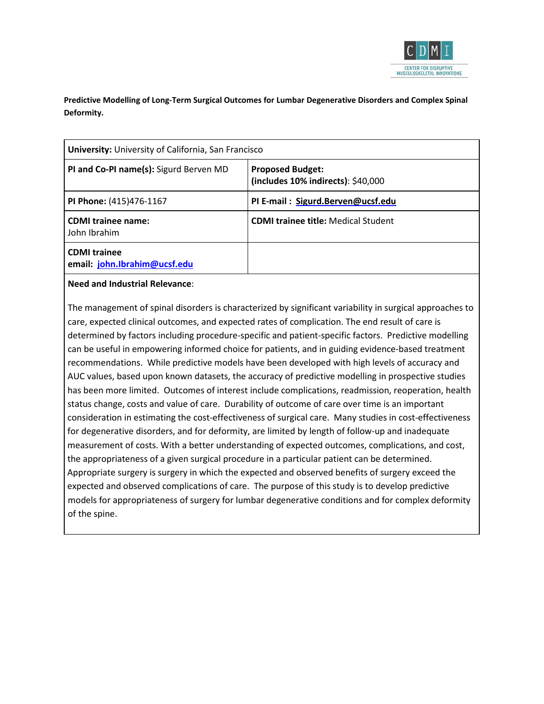

**Predictive Modelling of Long-Term Surgical Outcomes for Lumbar Degenerative Disorders and Complex Spinal Deformity.**

| University: University of California, San Francisco |                                                               |  |  |
|-----------------------------------------------------|---------------------------------------------------------------|--|--|
| PI and Co-PI name(s): Sigurd Berven MD              | <b>Proposed Budget:</b><br>(includes 10% indirects): \$40,000 |  |  |
| PI Phone: (415)476-1167                             | PI E-mail: Sigurd.Berven@ucsf.edu                             |  |  |
| <b>CDMI</b> trainee name:<br>John Ibrahim           | <b>CDMI trainee title: Medical Student</b>                    |  |  |
| <b>CDMI</b> trainee<br>email: john.Ibrahim@ucsf.edu |                                                               |  |  |

## **Need and Industrial Relevance**:

The management of spinal disorders is characterized by significant variability in surgical approaches to care, expected clinical outcomes, and expected rates of complication. The end result of care is determined by factors including procedure-specific and patient-specific factors. Predictive modelling can be useful in empowering informed choice for patients, and in guiding evidence-based treatment recommendations. While predictive models have been developed with high levels of accuracy and AUC values, based upon known datasets, the accuracy of predictive modelling in prospective studies has been more limited. Outcomes of interest include complications, readmission, reoperation, health status change, costs and value of care. Durability of outcome of care over time is an important consideration in estimating the cost-effectiveness of surgical care. Many studies in cost-effectiveness for degenerative disorders, and for deformity, are limited by length of follow-up and inadequate measurement of costs. With a better understanding of expected outcomes, complications, and cost, the appropriateness of a given surgical procedure in a particular patient can be determined. Appropriate surgery is surgery in which the expected and observed benefits of surgery exceed the expected and observed complications of care. The purpose of this study is to develop predictive models for appropriateness of surgery for lumbar degenerative conditions and for complex deformity of the spine.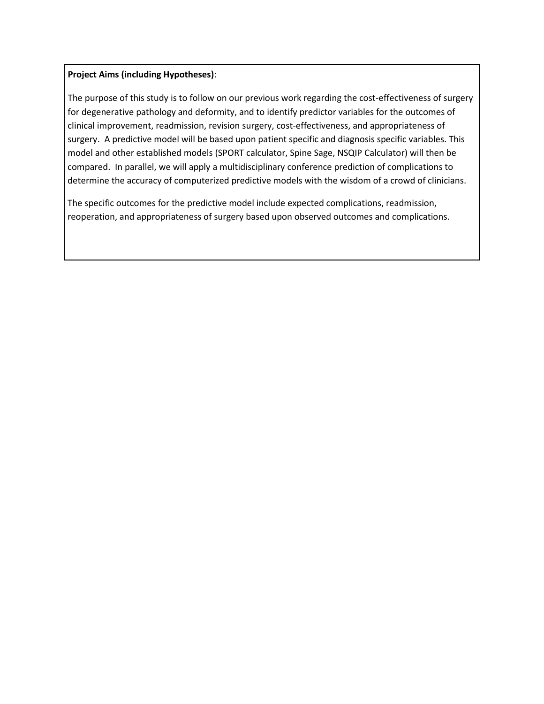## **Project Aims (including Hypotheses)**:

The purpose of this study is to follow on our previous work regarding the cost-effectiveness of surgery for degenerative pathology and deformity, and to identify predictor variables for the outcomes of clinical improvement, readmission, revision surgery, cost-effectiveness, and appropriateness of surgery. A predictive model will be based upon patient specific and diagnosis specific variables. This model and other established models (SPORT calculator, Spine Sage, NSQIP Calculator) will then be compared. In parallel, we will apply a multidisciplinary conference prediction of complications to determine the accuracy of computerized predictive models with the wisdom of a crowd of clinicians.

The specific outcomes for the predictive model include expected complications, readmission, reoperation, and appropriateness of surgery based upon observed outcomes and complications.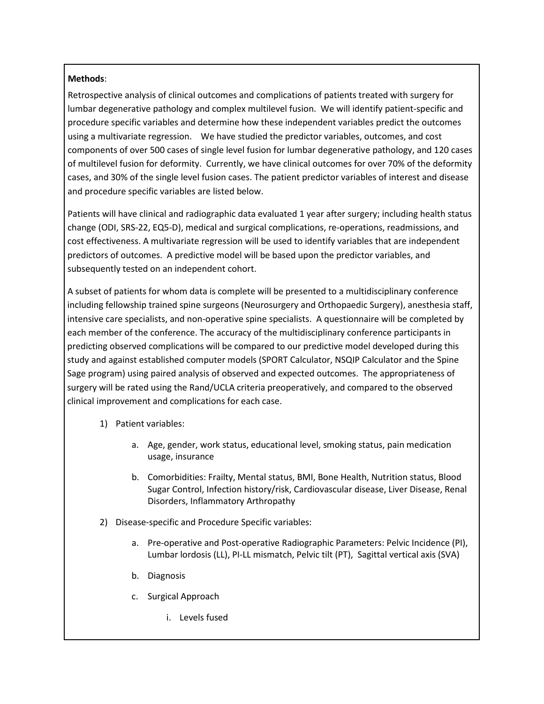# **Methods**:

Retrospective analysis of clinical outcomes and complications of patients treated with surgery for lumbar degenerative pathology and complex multilevel fusion. We will identify patient-specific and procedure specific variables and determine how these independent variables predict the outcomes using a multivariate regression. We have studied the predictor variables, outcomes, and cost components of over 500 cases of single level fusion for lumbar degenerative pathology, and 120 cases of multilevel fusion for deformity. Currently, we have clinical outcomes for over 70% of the deformity cases, and 30% of the single level fusion cases. The patient predictor variables of interest and disease and procedure specific variables are listed below.

Patients will have clinical and radiographic data evaluated 1 year after surgery; including health status change (ODI, SRS-22, EQ5-D), medical and surgical complications, re-operations, readmissions, and cost effectiveness. A multivariate regression will be used to identify variables that are independent predictors of outcomes. A predictive model will be based upon the predictor variables, and subsequently tested on an independent cohort.

A subset of patients for whom data is complete will be presented to a multidisciplinary conference including fellowship trained spine surgeons (Neurosurgery and Orthopaedic Surgery), anesthesia staff, intensive care specialists, and non-operative spine specialists. A questionnaire will be completed by each member of the conference. The accuracy of the multidisciplinary conference participants in predicting observed complications will be compared to our predictive model developed during this study and against established computer models (SPORT Calculator, NSQIP Calculator and the Spine Sage program) using paired analysis of observed and expected outcomes. The appropriateness of surgery will be rated using the Rand/UCLA criteria preoperatively, and compared to the observed clinical improvement and complications for each case.

- 1) Patient variables:
	- a. Age, gender, work status, educational level, smoking status, pain medication usage, insurance
	- b. Comorbidities: Frailty, Mental status, BMI, Bone Health, Nutrition status, Blood Sugar Control, Infection history/risk, Cardiovascular disease, Liver Disease, Renal Disorders, Inflammatory Arthropathy
- 2) Disease-specific and Procedure Specific variables:
	- a. Pre-operative and Post-operative Radiographic Parameters: Pelvic Incidence (PI), Lumbar lordosis (LL), PI-LL mismatch, Pelvic tilt (PT), Sagittal vertical axis (SVA)
	- b. Diagnosis
	- c. Surgical Approach
		- i. Levels fused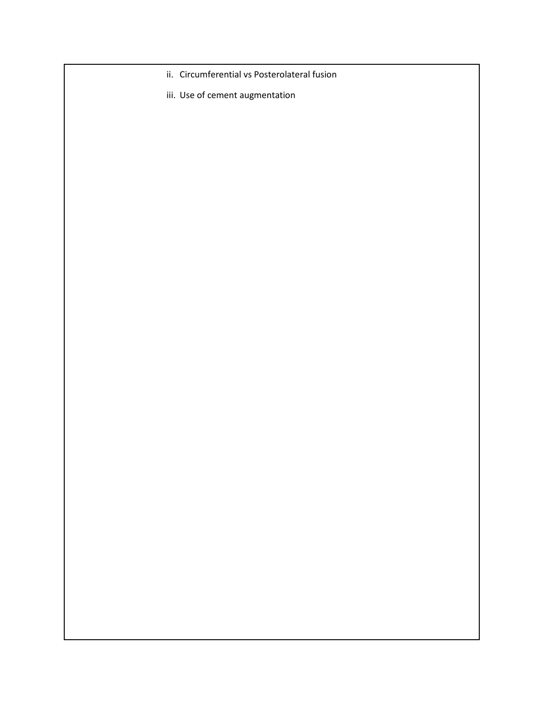- ii. Circumferential vs Posterolateral fusion
- iii. Use of cement augmentation